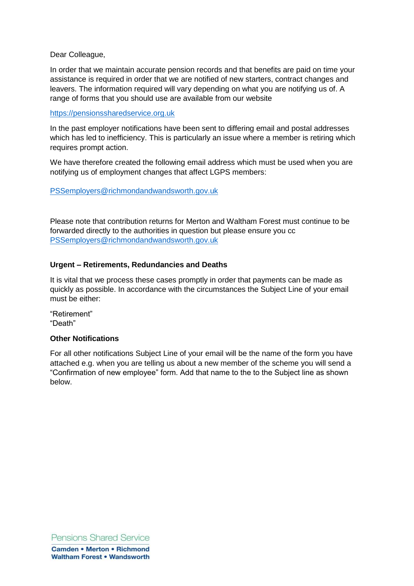Dear Colleague,

In order that we maintain accurate pension records and that benefits are paid on time your assistance is required in order that we are notified of new starters, contract changes and leavers. The information required will vary depending on what you are notifying us of. A range of forms that you should use are available from our website

## [https://pensionssharedservice.org.uk](https://pensionssharedservice.org.uk/)

In the past employer notifications have been sent to differing email and postal addresses which has led to inefficiency. This is particularly an issue where a member is retiring which requires prompt action.

We have therefore created the following email address which must be used when you are notifying us of employment changes that affect LGPS members:

[PSSemployers@richmondandwandsworth.gov.uk](mailto:PSSemployers@richmondandwandsworth.gov.uk)

Please note that contribution returns for Merton and Waltham Forest must continue to be forwarded directly to the authorities in question but please ensure you cc [PSSemployers@richmondandwandsworth.gov.uk](mailto:PSSemployers@richmondandwandsworth.gov.uk)

## **Urgent – Retirements, Redundancies and Deaths**

It is vital that we process these cases promptly in order that payments can be made as quickly as possible. In accordance with the circumstances the Subject Line of your email must be either:

"Retirement" "Death"

#### **Other Notifications**

For all other notifications Subject Line of your email will be the name of the form you have attached e.g. when you are telling us about a new member of the scheme you will send a "Confirmation of new employee" form. Add that name to the to the Subject line as shown below.

Pensions Shared Service **Camden • Merton • Richmond Waltham Forest . Wandsworth**